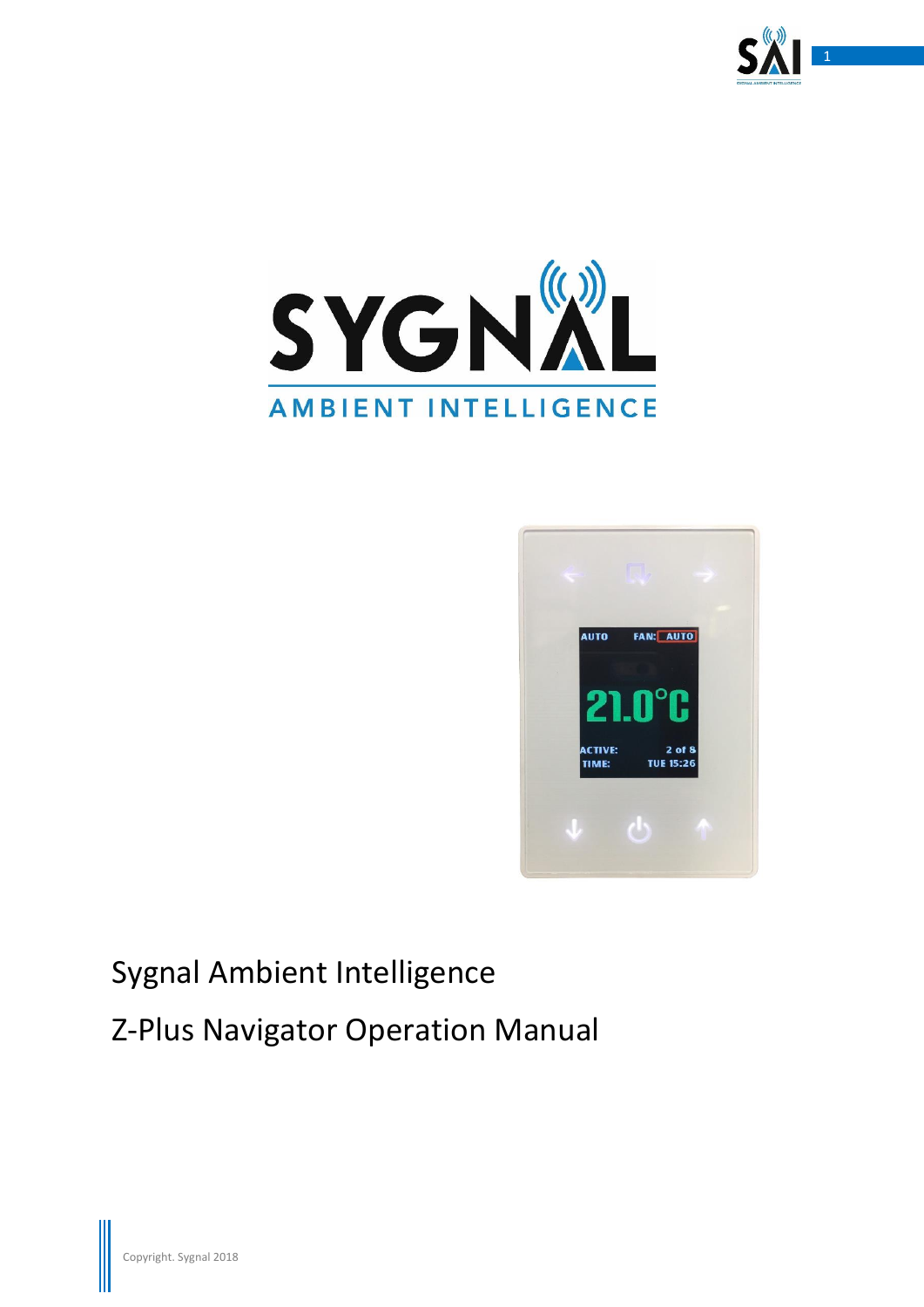





# Sygnal Ambient Intelligence

Z-Plus Navigator Operation Manual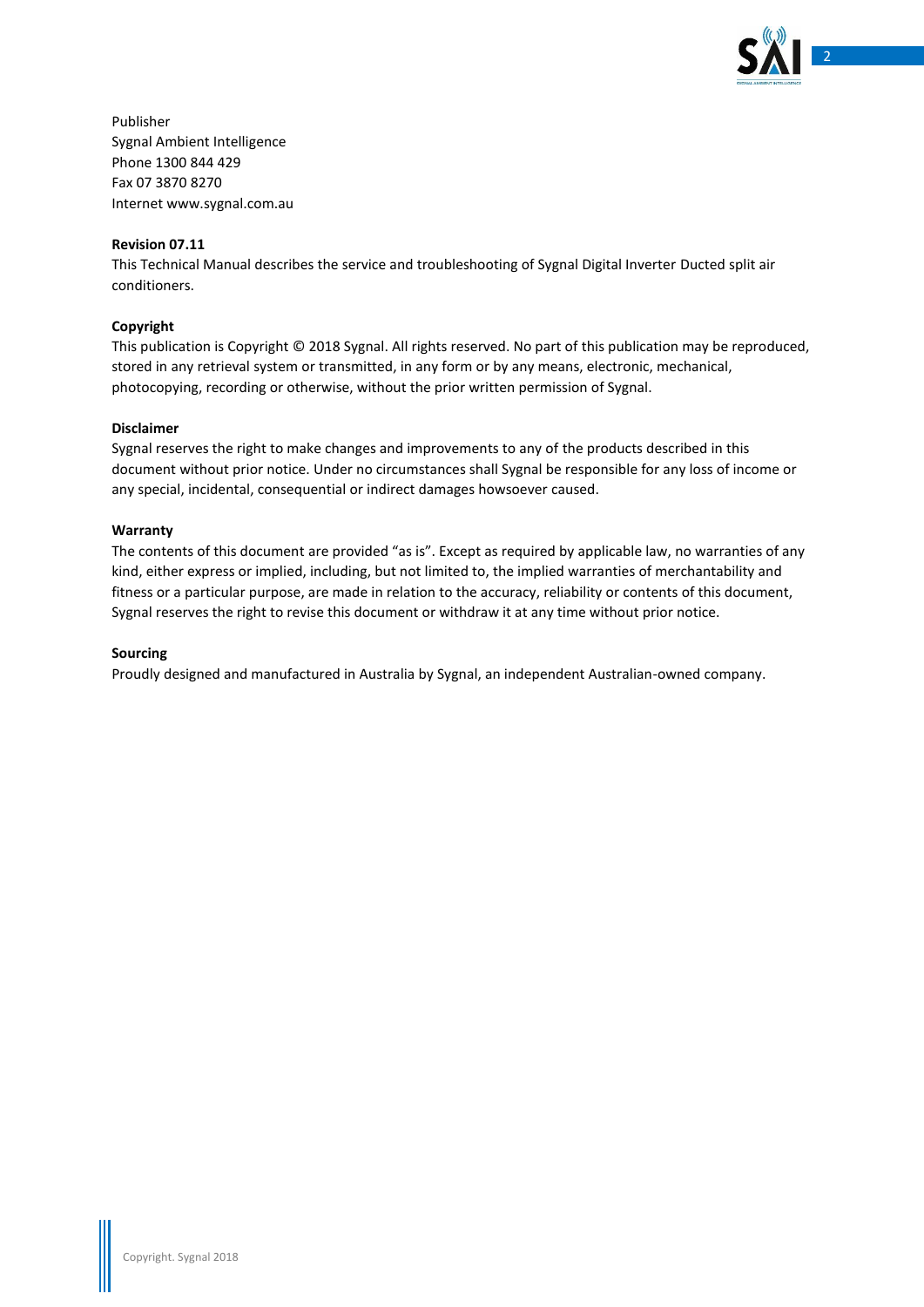

Publisher Sygnal Ambient Intelligence Phone 1300 844 429 Fax 07 3870 8270 Internet www.sygnal.com.au

#### **Revision 07.11**

This Technical Manual describes the service and troubleshooting of Sygnal Digital Inverter Ducted split air conditioners.

#### **Copyright**

This publication is Copyright © 2018 Sygnal. All rights reserved. No part of this publication may be reproduced, stored in any retrieval system or transmitted, in any form or by any means, electronic, mechanical, photocopying, recording or otherwise, without the prior written permission of Sygnal.

#### **Disclaimer**

Sygnal reserves the right to make changes and improvements to any of the products described in this document without prior notice. Under no circumstances shall Sygnal be responsible for any loss of income or any special, incidental, consequential or indirect damages howsoever caused.

#### **Warranty**

The contents of this document are provided "as is". Except as required by applicable law, no warranties of any kind, either express or implied, including, but not limited to, the implied warranties of merchantability and fitness or a particular purpose, are made in relation to the accuracy, reliability or contents of this document, Sygnal reserves the right to revise this document or withdraw it at any time without prior notice.

#### **Sourcing**

Proudly designed and manufactured in Australia by Sygnal, an independent Australian-owned company.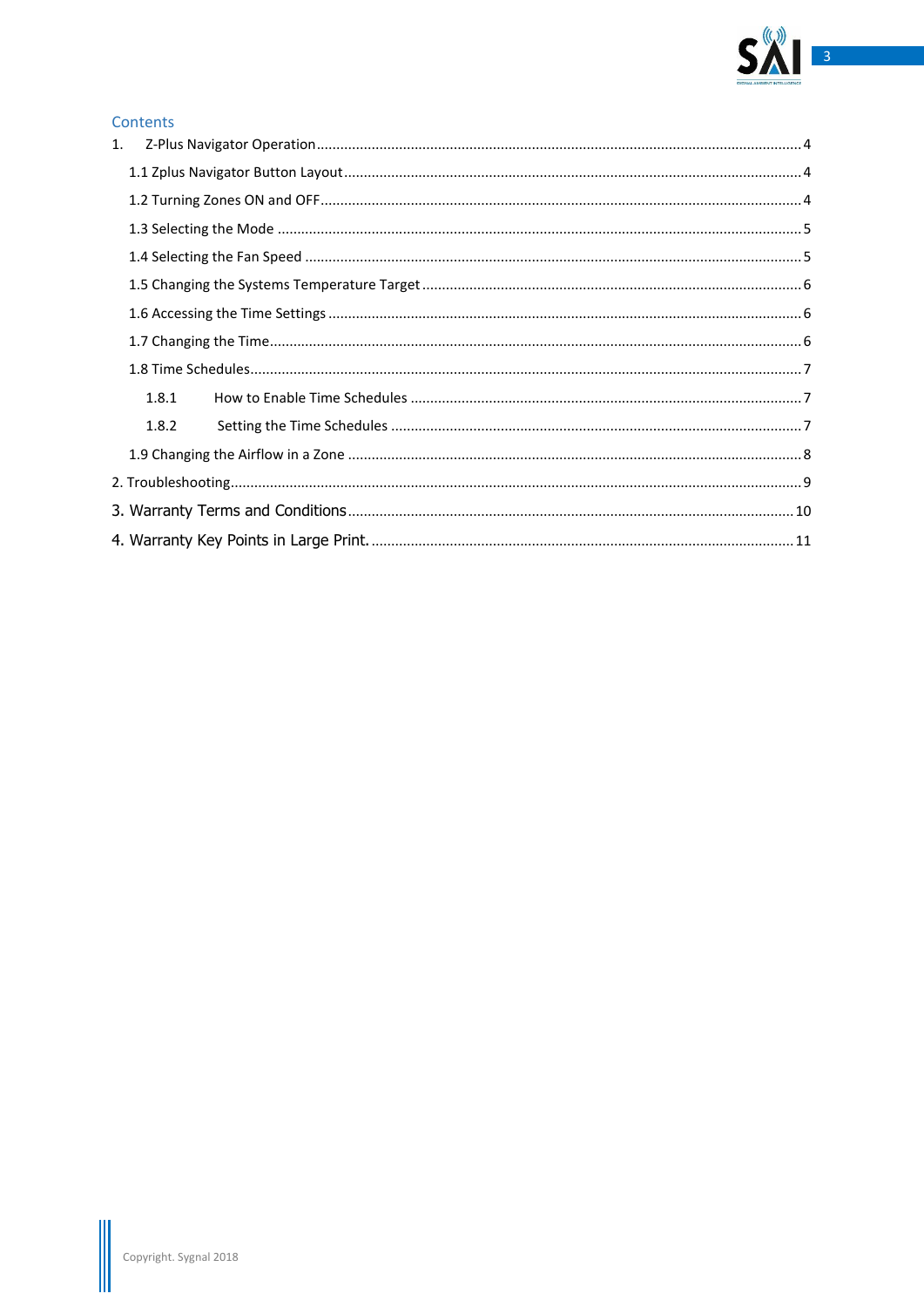

### Contents

| 1.    |  |  |  |  |
|-------|--|--|--|--|
|       |  |  |  |  |
|       |  |  |  |  |
|       |  |  |  |  |
|       |  |  |  |  |
|       |  |  |  |  |
|       |  |  |  |  |
|       |  |  |  |  |
|       |  |  |  |  |
| 1.8.1 |  |  |  |  |
| 1.8.2 |  |  |  |  |
|       |  |  |  |  |
|       |  |  |  |  |
|       |  |  |  |  |
|       |  |  |  |  |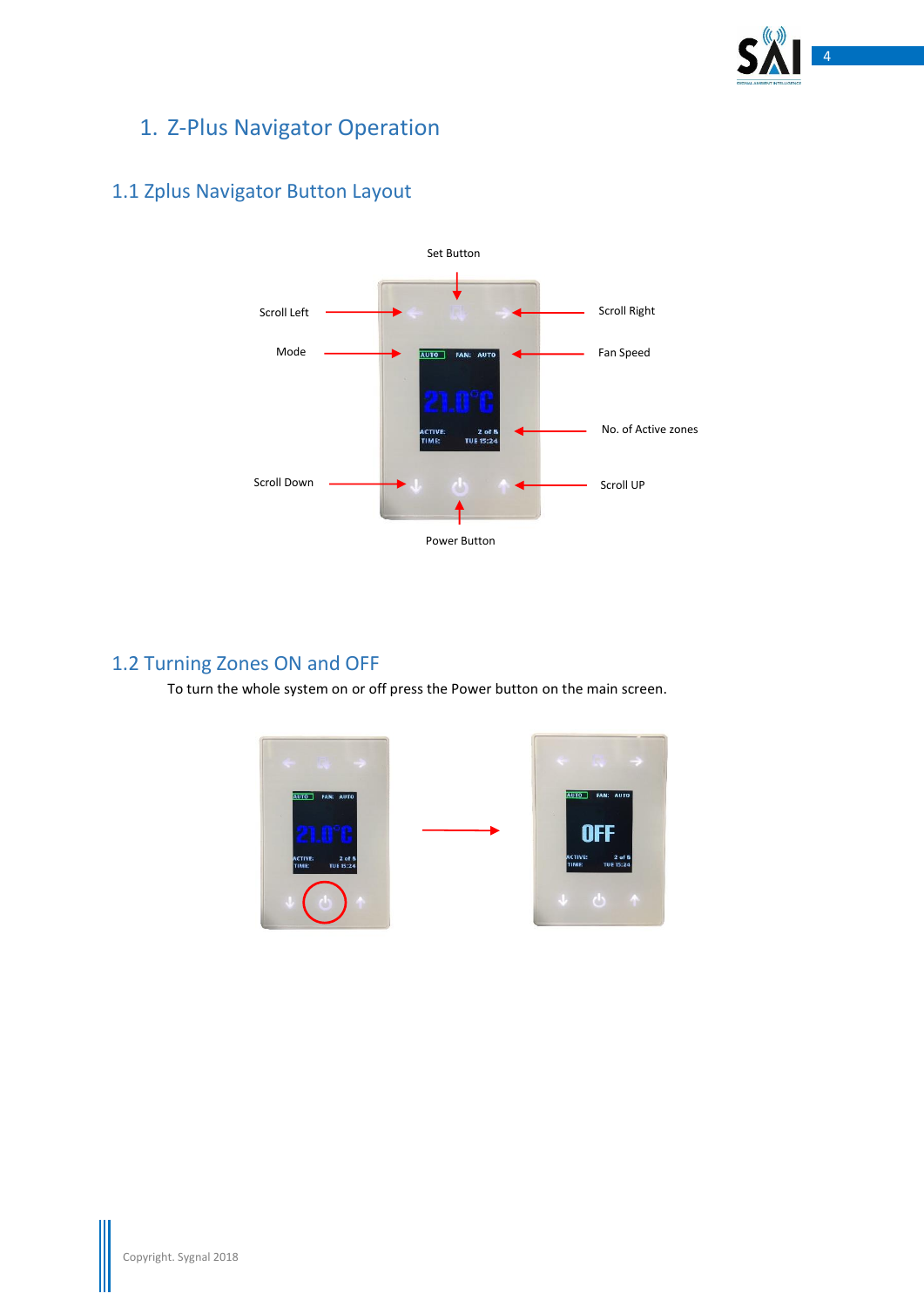

# <span id="page-3-0"></span>1. Z-Plus Navigator Operation



# <span id="page-3-1"></span>1.1 Zplus Navigator Button Layout

# <span id="page-3-2"></span>1.2 Turning Zones ON and OFF

To turn the whole system on or off press the Power button on the main screen.

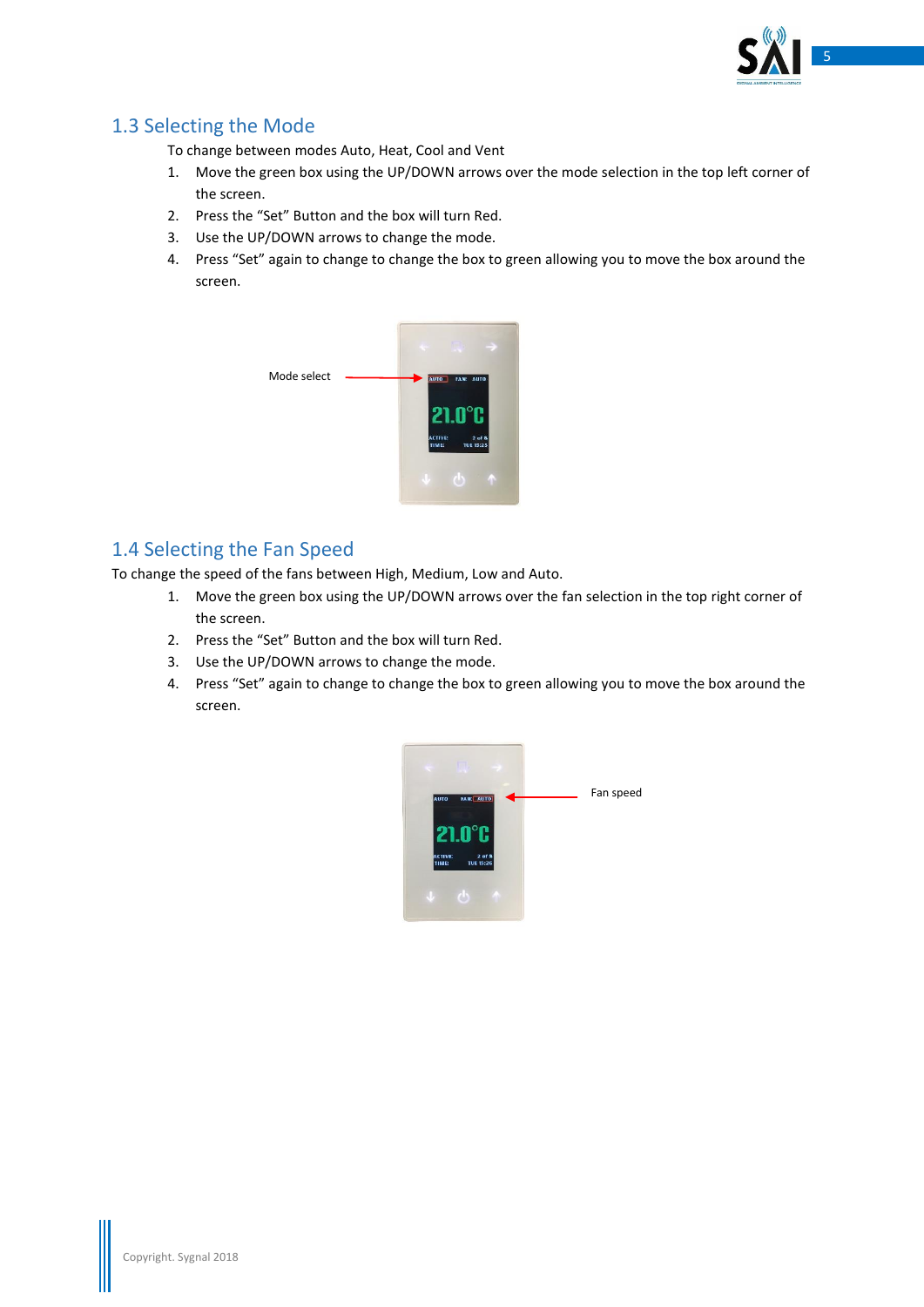

## <span id="page-4-0"></span>1.3 Selecting the Mode

To change between modes Auto, Heat, Cool and Vent

- 1. Move the green box using the UP/DOWN arrows over the mode selection in the top left corner of the screen.
- 2. Press the "Set" Button and the box will turn Red.
- 3. Use the UP/DOWN arrows to change the mode.
- 4. Press "Set" again to change to change the box to green allowing you to move the box around the screen.



## <span id="page-4-1"></span>1.4 Selecting the Fan Speed

To change the speed of the fans between High, Medium, Low and Auto.

- 1. Move the green box using the UP/DOWN arrows over the fan selection in the top right corner of the screen.
- 2. Press the "Set" Button and the box will turn Red.
- 3. Use the UP/DOWN arrows to change the mode.
- 4. Press "Set" again to change to change the box to green allowing you to move the box around the screen.

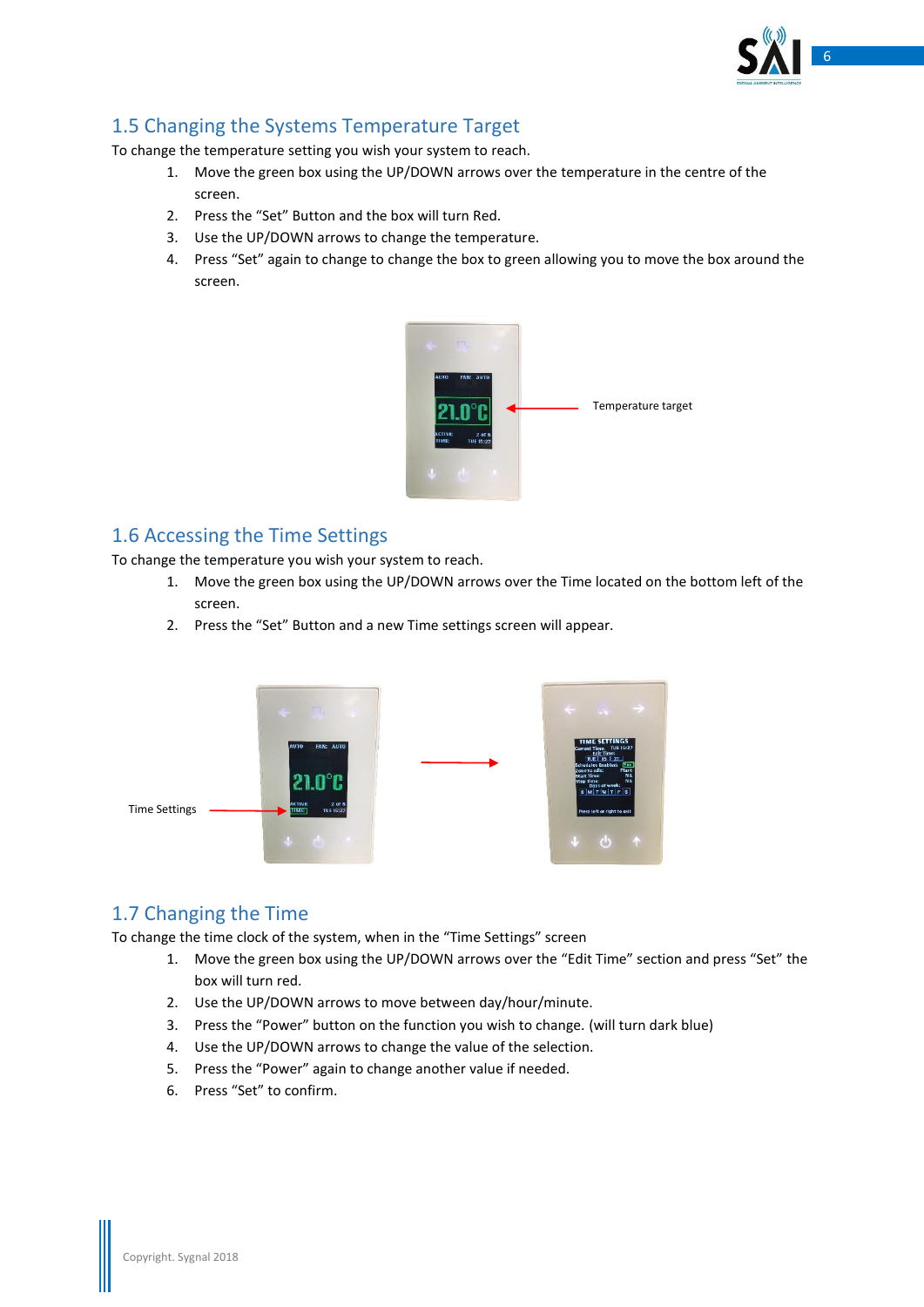

## <span id="page-5-0"></span>1.5 Changing the Systems Temperature Target

To change the temperature setting you wish your system to reach.

- 1. Move the green box using the UP/DOWN arrows over the temperature in the centre of the screen.
- 2. Press the "Set" Button and the box will turn Red.
- 3. Use the UP/DOWN arrows to change the temperature.
- 4. Press "Set" again to change to change the box to green allowing you to move the box around the screen.



## <span id="page-5-1"></span>1.6 Accessing the Time Settings

To change the temperature you wish your system to reach.

- 1. Move the green box using the UP/DOWN arrows over the Time located on the bottom left of the screen.
- 2. Press the "Set" Button and a new Time settings screen will appear.



### <span id="page-5-2"></span>1.7 Changing the Time

To change the time clock of the system, when in the "Time Settings" screen

- 1. Move the green box using the UP/DOWN arrows over the "Edit Time" section and press "Set" the box will turn red.
- 2. Use the UP/DOWN arrows to move between day/hour/minute.
- 3. Press the "Power" button on the function you wish to change. (will turn dark blue)
- 4. Use the UP/DOWN arrows to change the value of the selection.
- 5. Press the "Power" again to change another value if needed.
- 6. Press "Set" to confirm.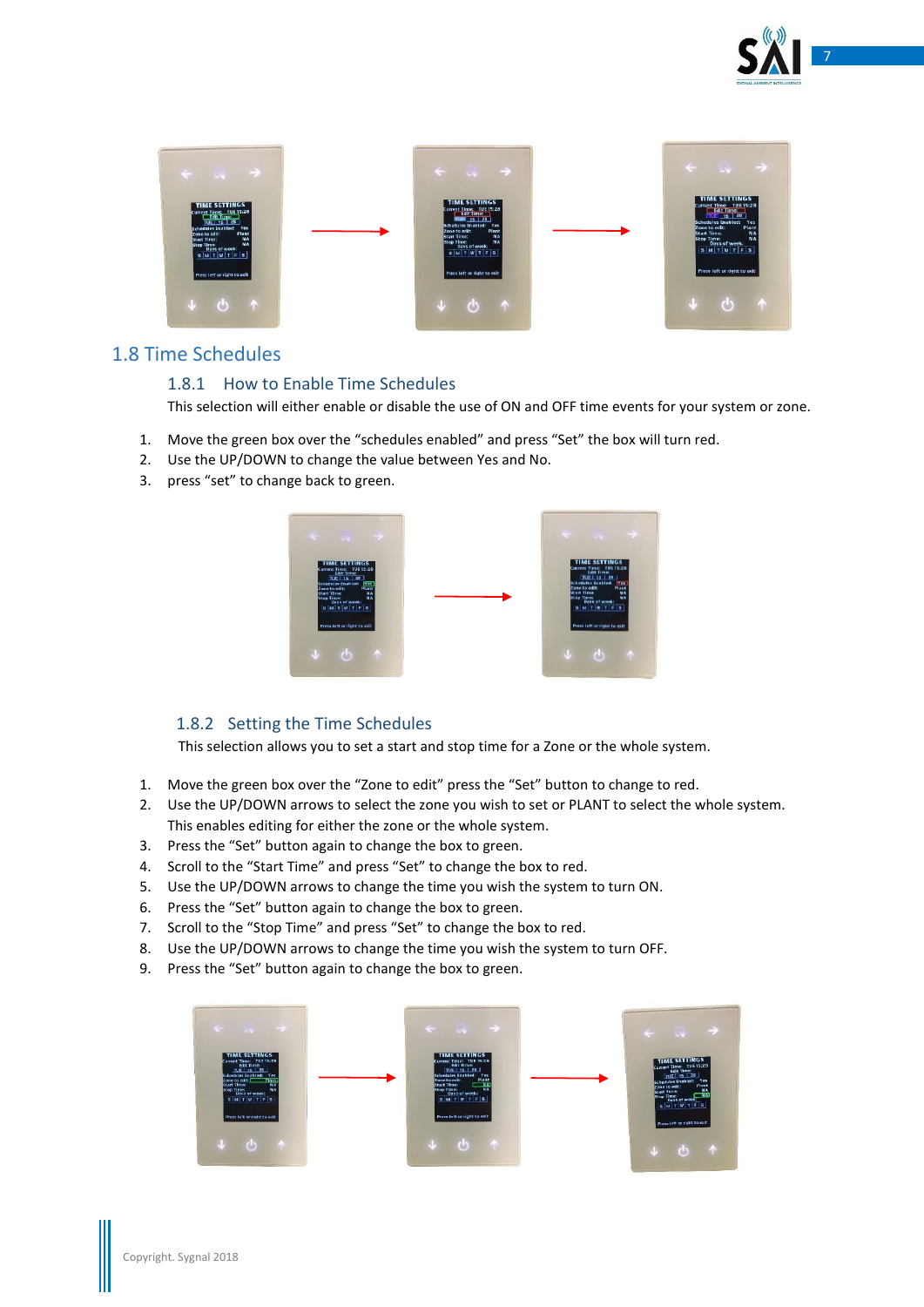



### <span id="page-6-1"></span><span id="page-6-0"></span>1.8 Time Schedules

#### 1.8.1 How to Enable Time Schedules

This selection will either enable or disable the use of ON and OFF time events for your system or zone.

- 1. Move the green box over the "schedules enabled" and press "Set" the box will turn red.
- 2. Use the UP/DOWN to change the value between Yes and No.
- 3. press "set" to change back to green.



### <span id="page-6-2"></span>1.8.2 Setting the Time Schedules

This selection allows you to set a start and stop time for a Zone or the whole system.

- 1. Move the green box over the "Zone to edit" press the "Set" button to change to red.
- 2. Use the UP/DOWN arrows to select the zone you wish to set or PLANT to select the whole system. This enables editing for either the zone or the whole system.
- 3. Press the "Set" button again to change the box to green.
- 4. Scroll to the "Start Time" and press "Set" to change the box to red.
- 5. Use the UP/DOWN arrows to change the time you wish the system to turn ON.
- 6. Press the "Set" button again to change the box to green.
- 7. Scroll to the "Stop Time" and press "Set" to change the box to red.
- 8. Use the UP/DOWN arrows to change the time you wish the system to turn OFF.
- 9. Press the "Set" button again to change the box to green.

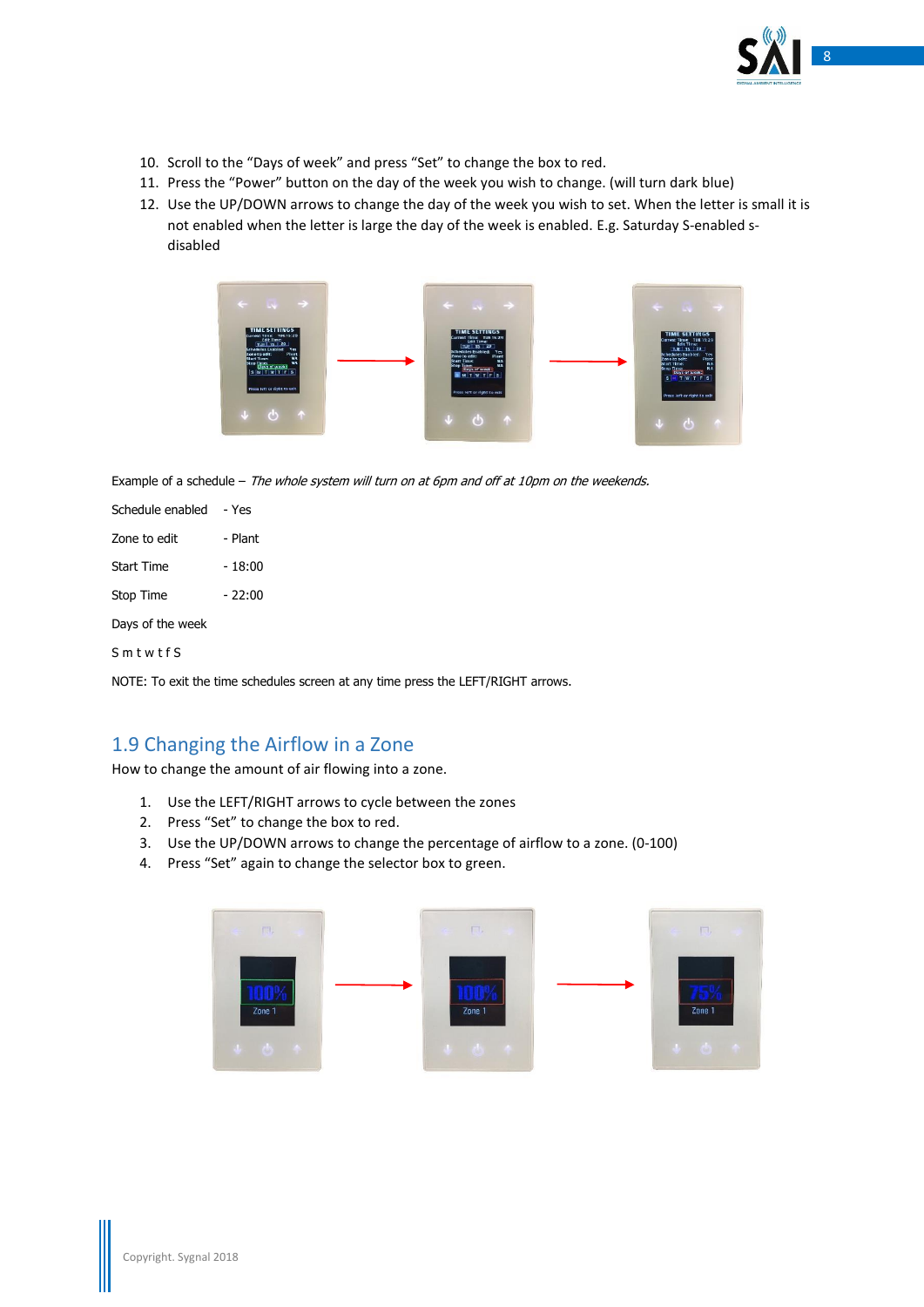

- 10. Scroll to the "Days of week" and press "Set" to change the box to red.
- 11. Press the "Power" button on the day of the week you wish to change. (will turn dark blue)
- 12. Use the UP/DOWN arrows to change the day of the week you wish to set. When the letter is small it is not enabled when the letter is large the day of the week is enabled. E.g. Saturday S-enabled sdisabled



Example of a schedule - The whole system will turn on at 6pm and off at 10pm on the weekends.

| Schedule enabled | - Yes   |  |  |  |
|------------------|---------|--|--|--|
| Zone to edit     | - Plant |  |  |  |
| Start Time       | - 18:00 |  |  |  |
| Stop Time        | - 22:00 |  |  |  |
| Days of the week |         |  |  |  |
|                  |         |  |  |  |

S m t w t f S

NOTE: To exit the time schedules screen at any time press the LEFT/RIGHT arrows.

## <span id="page-7-0"></span>1.9 Changing the Airflow in a Zone

How to change the amount of air flowing into a zone.

- 1. Use the LEFT/RIGHT arrows to cycle between the zones
- 2. Press "Set" to change the box to red.
- 3. Use the UP/DOWN arrows to change the percentage of airflow to a zone. (0-100)
- 4. Press "Set" again to change the selector box to green.

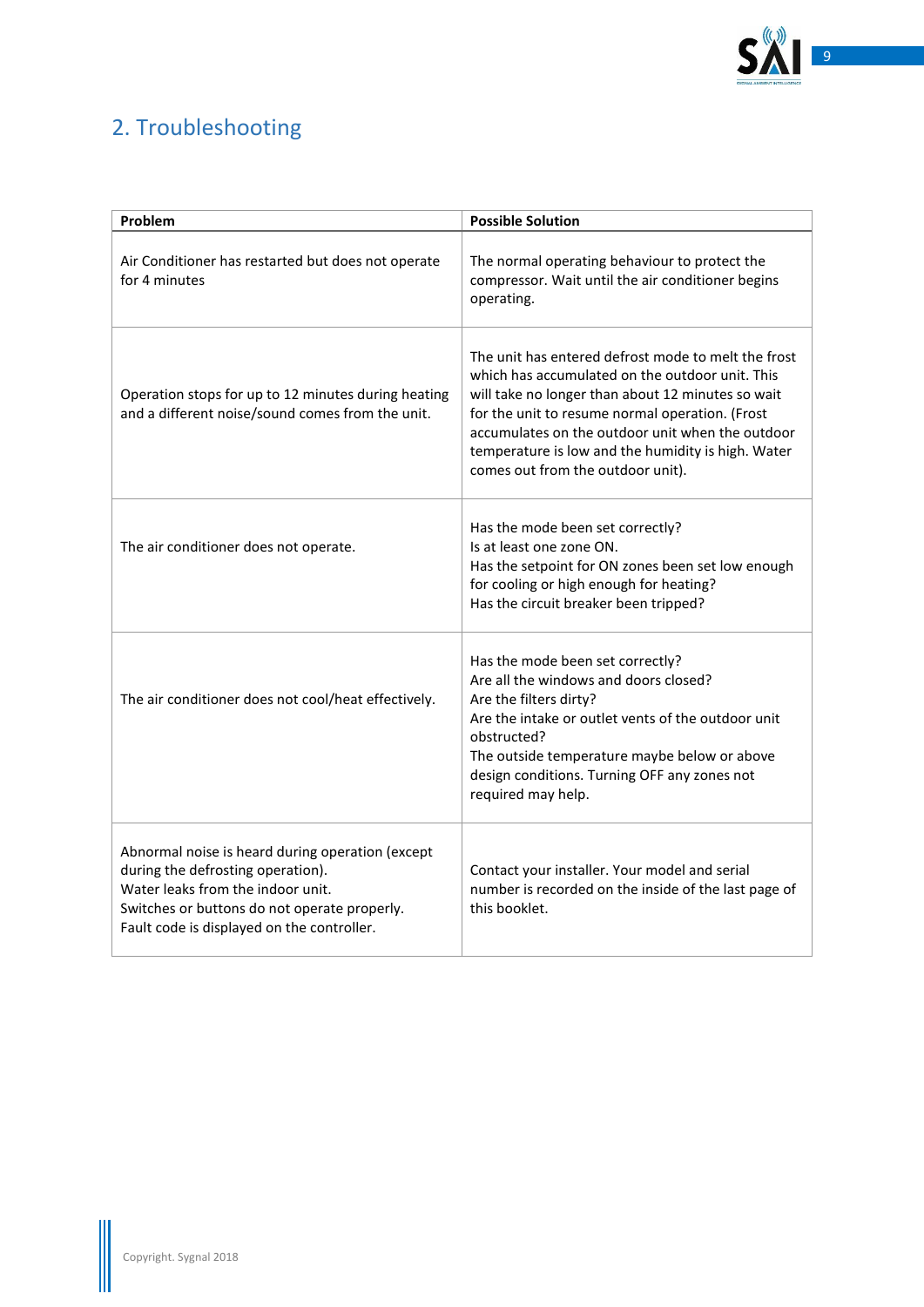

# <span id="page-8-0"></span>2. Troubleshooting

| Problem                                                                                                                                                                                                                  | <b>Possible Solution</b>                                                                                                                                                                                                                                                                                                                                      |  |  |
|--------------------------------------------------------------------------------------------------------------------------------------------------------------------------------------------------------------------------|---------------------------------------------------------------------------------------------------------------------------------------------------------------------------------------------------------------------------------------------------------------------------------------------------------------------------------------------------------------|--|--|
| Air Conditioner has restarted but does not operate<br>for 4 minutes                                                                                                                                                      | The normal operating behaviour to protect the<br>compressor. Wait until the air conditioner begins<br>operating.                                                                                                                                                                                                                                              |  |  |
| Operation stops for up to 12 minutes during heating<br>and a different noise/sound comes from the unit.                                                                                                                  | The unit has entered defrost mode to melt the frost<br>which has accumulated on the outdoor unit. This<br>will take no longer than about 12 minutes so wait<br>for the unit to resume normal operation. (Frost<br>accumulates on the outdoor unit when the outdoor<br>temperature is low and the humidity is high. Water<br>comes out from the outdoor unit). |  |  |
| The air conditioner does not operate.                                                                                                                                                                                    | Has the mode been set correctly?<br>Is at least one zone ON.<br>Has the setpoint for ON zones been set low enough<br>for cooling or high enough for heating?<br>Has the circuit breaker been tripped?                                                                                                                                                         |  |  |
| The air conditioner does not cool/heat effectively.                                                                                                                                                                      | Has the mode been set correctly?<br>Are all the windows and doors closed?<br>Are the filters dirty?<br>Are the intake or outlet vents of the outdoor unit<br>obstructed?<br>The outside temperature maybe below or above<br>design conditions. Turning OFF any zones not<br>required may help.                                                                |  |  |
| Abnormal noise is heard during operation (except<br>during the defrosting operation).<br>Water leaks from the indoor unit.<br>Switches or buttons do not operate properly.<br>Fault code is displayed on the controller. | Contact your installer. Your model and serial<br>number is recorded on the inside of the last page of<br>this booklet.                                                                                                                                                                                                                                        |  |  |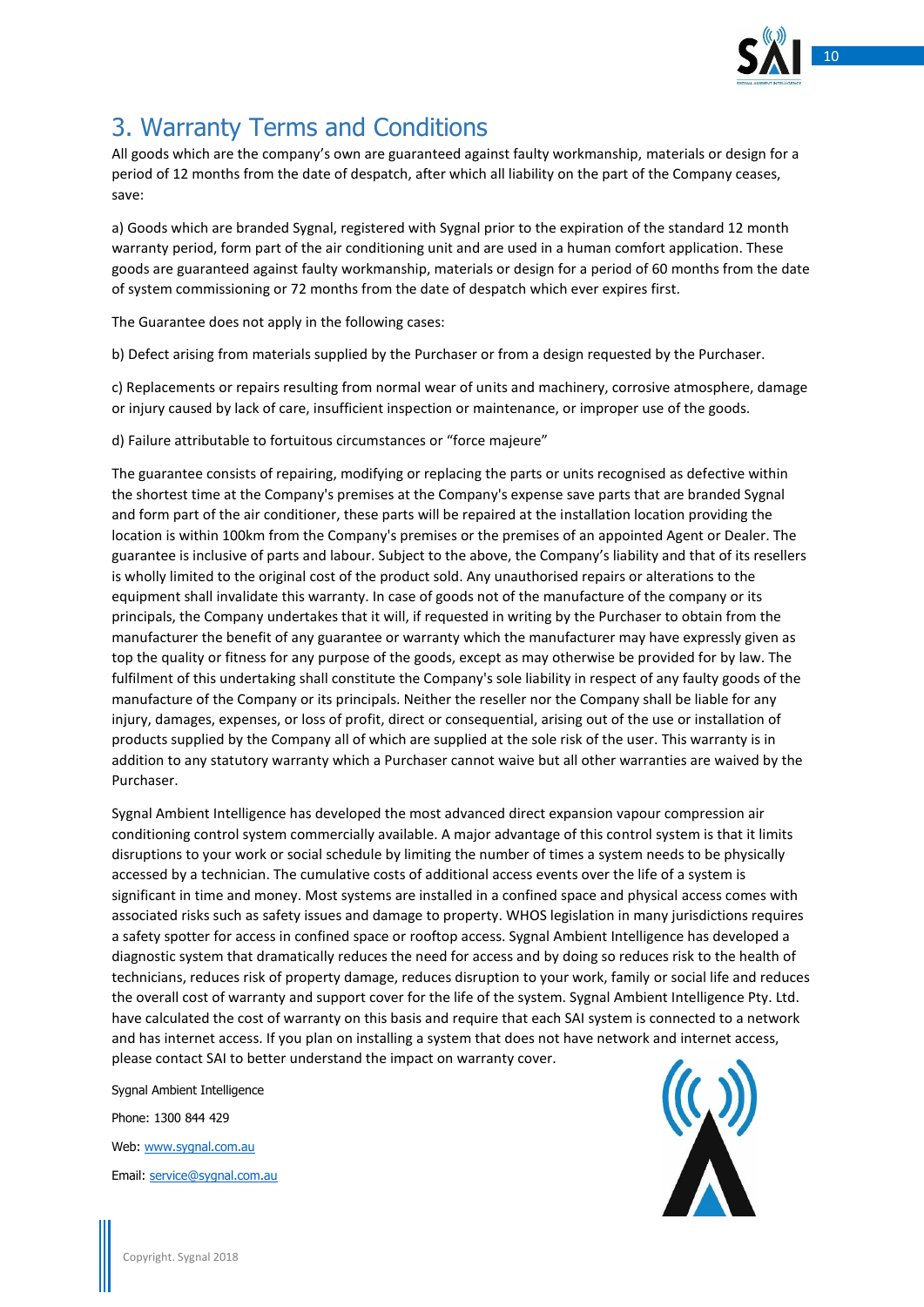

# <span id="page-9-0"></span>3. Warranty Terms and Conditions

All goods which are the company's own are guaranteed against faulty workmanship, materials or design for a period of 12 months from the date of despatch, after which all liability on the part of the Company ceases, save:

a) Goods which are branded Sygnal, registered with Sygnal prior to the expiration of the standard 12 month warranty period, form part of the air conditioning unit and are used in a human comfort application. These goods are guaranteed against faulty workmanship, materials or design for a period of 60 months from the date of system commissioning or 72 months from the date of despatch which ever expires first.

The Guarantee does not apply in the following cases:

b) Defect arising from materials supplied by the Purchaser or from a design requested by the Purchaser.

c) Replacements or repairs resulting from normal wear of units and machinery, corrosive atmosphere, damage or injury caused by lack of care, insufficient inspection or maintenance, or improper use of the goods.

d) Failure attributable to fortuitous circumstances or "force majeure"

The guarantee consists of repairing, modifying or replacing the parts or units recognised as defective within the shortest time at the Company's premises at the Company's expense save parts that are branded Sygnal and form part of the air conditioner, these parts will be repaired at the installation location providing the location is within 100km from the Company's premises or the premises of an appointed Agent or Dealer. The guarantee is inclusive of parts and labour. Subject to the above, the Company's liability and that of its resellers is wholly limited to the original cost of the product sold. Any unauthorised repairs or alterations to the equipment shall invalidate this warranty. In case of goods not of the manufacture of the company or its principals, the Company undertakes that it will, if requested in writing by the Purchaser to obtain from the manufacturer the benefit of any guarantee or warranty which the manufacturer may have expressly given as top the quality or fitness for any purpose of the goods, except as may otherwise be provided for by law. The fulfilment of this undertaking shall constitute the Company's sole liability in respect of any faulty goods of the manufacture of the Company or its principals. Neither the reseller nor the Company shall be liable for any injury, damages, expenses, or loss of profit, direct or consequential, arising out of the use or installation of products supplied by the Company all of which are supplied at the sole risk of the user. This warranty is in addition to any statutory warranty which a Purchaser cannot waive but all other warranties are waived by the Purchaser.

Sygnal Ambient Intelligence has developed the most advanced direct expansion vapour compression air conditioning control system commercially available. A major advantage of this control system is that it limits disruptions to your work or social schedule by limiting the number of times a system needs to be physically accessed by a technician. The cumulative costs of additional access events over the life of a system is significant in time and money. Most systems are installed in a confined space and physical access comes with associated risks such as safety issues and damage to property. WHOS legislation in many jurisdictions requires a safety spotter for access in confined space or rooftop access. Sygnal Ambient Intelligence has developed a diagnostic system that dramatically reduces the need for access and by doing so reduces risk to the health of technicians, reduces risk of property damage, reduces disruption to your work, family or social life and reduces the overall cost of warranty and support cover for the life of the system. Sygnal Ambient Intelligence Pty. Ltd. have calculated the cost of warranty on this basis and require that each SAI system is connected to a network and has internet access. If you plan on installing a system that does not have network and internet access, please contact SAI to better understand the impact on warranty cover.

Sygnal Ambient Intelligence Phone: 1300 844 429 Web: [www.sygnal.com.au](http://www.sygnal.com.au/) Email: [service@sygnal.com.au](mailto:service@sygnal.com.au)